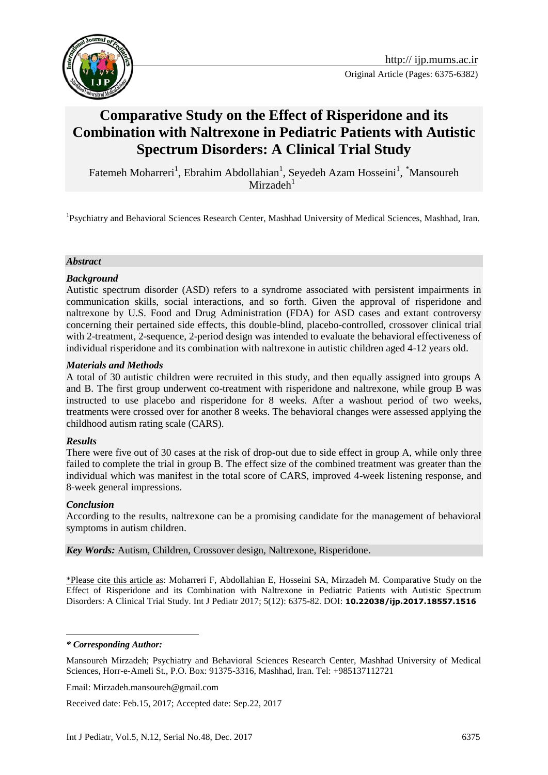



# **Comparative Study on the Effect of Risperidone and its Combination with Naltrexone in Pediatric Patients with Autistic Spectrum Disorders: A Clinical Trial Study**

Fatemeh Moharreri<sup>1</sup>, Ebrahim Abdollahian<sup>1</sup>, Seyedeh Azam Hosseini<sup>1</sup>, \*Mansoureh  $Mirzadeh<sup>1</sup>$ 

<sup>1</sup>Psychiatry and Behavioral Sciences Research Center, Mashhad University of Medical Sciences, Mashhad, Iran.

#### *Abstract*

#### *Background*

Autistic spectrum disorder (ASD) refers to a syndrome associated with persistent impairments in communication skills, social interactions, and so forth. Given the approval of risperidone and naltrexone by U.S. Food and Drug Administration (FDA) for ASD cases and extant controversy concerning their pertained side effects, this double-blind, placebo-controlled, crossover clinical trial with 2-treatment, 2-sequence, 2-period design was intended to evaluate the behavioral effectiveness of individual risperidone and its combination with naltrexone in autistic children aged 4-12 years old.

#### *Materials and Methods*

A total of 30 autistic children were recruited in this study, and then equally assigned into groups A and B. The first group underwent co-treatment with risperidone and naltrexone, while group B was instructed to use placebo and risperidone for 8 weeks. After a washout period of two weeks, treatments were crossed over for another 8 weeks. The behavioral changes were assessed applying the childhood autism rating scale (CARS).

#### *Results*

There were five out of 30 cases at the risk of drop-out due to side effect in group A, while only three failed to complete the trial in group B. The effect size of the combined treatment was greater than the individual which was manifest in the total score of CARS, improved 4-week listening response, and 8-week general impressions.

#### *Conclusion*

According to the results, naltrexone can be a promising candidate for the management of behavioral symptoms in autism children.

*Key Words:* Autism, Children, Crossover design, Naltrexone, Risperidone.

\*Please cite this article as: Moharreri F, Abdollahian E, Hosseini SA, Mirzadeh M. Comparative Study on the Effect of Risperidone and its Combination with Naltrexone in Pediatric Patients with Autistic Spectrum Disorders: A Clinical Trial Study. Int J Pediatr 2017; 5(12): 6375-82. DOI: **10.22038/ijp.2017.18557.1516**

<u>.</u>

Received date: Feb.15, 2017; Accepted date: Sep.22, 2017

*<sup>\*</sup> Corresponding Author:* 

Mansoureh Mirzadeh; Psychiatry and Behavioral Sciences Research Center, Mashhad University of Medical Sciences, Horr-e-Ameli St., P.O. Box: 91375-3316, Mashhad, Iran. Tel: +985137112721

Email: Mirzadeh.mansoureh@gmail.com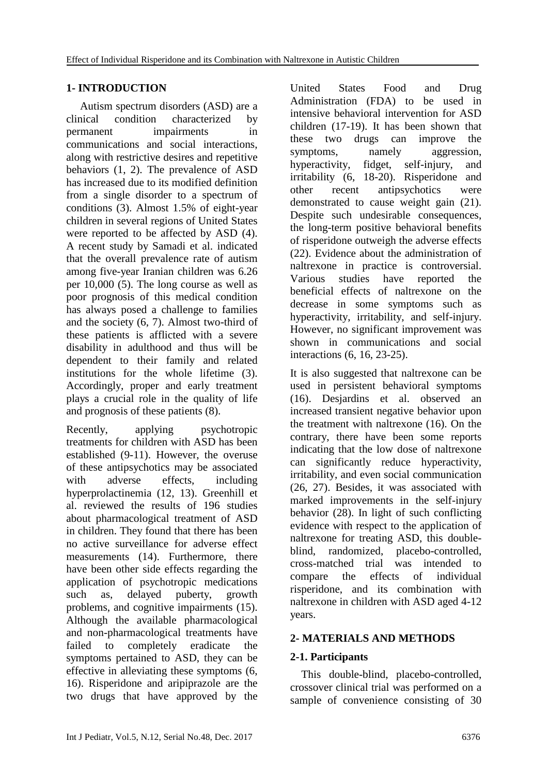# **1- INTRODUCTION**

 Autism spectrum disorders (ASD) are a clinical condition characterized by permanent impairments in communications and social interactions, along with restrictive desires and repetitive behaviors (1, 2). The prevalence of ASD has increased due to its modified definition from a single disorder to a spectrum of conditions (3). Almost 1.5% of eight-year children in several regions of United States were reported to be affected by ASD (4). A recent study by Samadi et al. indicated that the overall prevalence rate of autism among five-year Iranian children was 6.26 per 10,000 (5). The long course as well as poor prognosis of this medical condition has always posed a challenge to families and the society (6, 7). Almost two-third of these patients is afflicted with a severe disability in adulthood and thus will be dependent to their family and related institutions for the whole lifetime (3). Accordingly, proper and early treatment plays a crucial role in the quality of life and prognosis of these patients (8).

Recently, applying psychotropic treatments for children with ASD has been established (9-11). However, the overuse of these antipsychotics may be associated with adverse effects, including hyperprolactinemia (12, 13). Greenhill et al. reviewed the results of 196 studies about pharmacological treatment of ASD in children. They found that there has been no active surveillance for adverse effect measurements (14). Furthermore, there have been other side effects regarding the application of psychotropic medications such as, delayed puberty, growth problems, and cognitive impairments (15). Although the available pharmacological and non-pharmacological treatments have failed to completely eradicate the symptoms pertained to ASD, they can be effective in alleviating these symptoms (6, 16). Risperidone and aripiprazole are the two drugs that have approved by the

United States Food and Drug Administration (FDA) to be used in intensive behavioral intervention for ASD children (17-19). It has been shown that these two drugs can improve the symptoms, namely aggression, hyperactivity, fidget, self-injury, and irritability (6, 18-20). Risperidone and other recent antipsychotics were demonstrated to cause weight gain (21). Despite such undesirable consequences, the long-term positive behavioral benefits of risperidone outweigh the adverse effects (22). Evidence about the administration of naltrexone in practice is controversial. Various studies have reported the beneficial effects of naltrexone on the decrease in some symptoms such as hyperactivity, irritability, and self-injury. However, no significant improvement was shown in communications and social interactions (6, 16, 23-25).

It is also suggested that naltrexone can be used in persistent behavioral symptoms (16). Desjardins et al. observed an increased transient negative behavior upon the treatment with naltrexone (16). On the contrary, there have been some reports indicating that the low dose of naltrexone can significantly reduce hyperactivity, irritability, and even social communication (26, 27). Besides, it was associated with marked improvements in the self-injury behavior (28). In light of such conflicting evidence with respect to the application of naltrexone for treating ASD, this doubleblind, randomized, placebo-controlled, cross-matched trial was intended to compare the effects of individual risperidone, and its combination with naltrexone in children with ASD aged 4-12 years.

# **2- MATERIALS AND METHODS**

# **2-1. Participants**

 This double-blind, placebo-controlled, crossover clinical trial was performed on a sample of convenience consisting of 30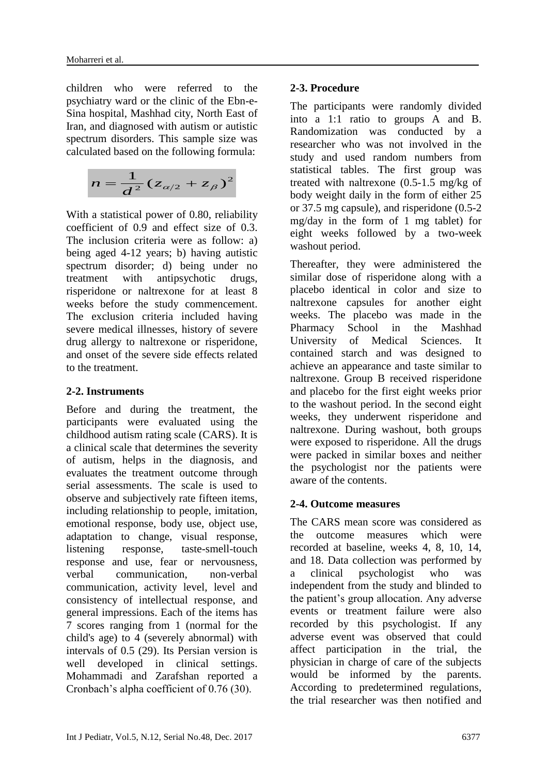children who were referred to the psychiatry ward or the clinic of the Ebn-e-Sina hospital, Mashhad city, North East of Iran, and diagnosed with autism or autistic spectrum disorders. This sample size was calculated based on the following formula:

$$
n=\frac{1}{d^2}(z_{\alpha/2}+z_{\beta})^2
$$

With a statistical power of 0.80, reliability coefficient of 0.9 and effect size of 0.3. The inclusion criteria were as follow: a) being aged 4-12 years; b) having autistic spectrum disorder; d) being under no treatment with antipsychotic drugs, risperidone or naltrexone for at least 8 weeks before the study commencement. The exclusion criteria included having severe medical illnesses, history of severe drug allergy to naltrexone or risperidone, and onset of the severe side effects related to the treatment.

### **2-2. Instruments**

Before and during the treatment, the participants were evaluated using the childhood autism rating scale (CARS). It is a clinical scale that determines the severity of autism, helps in the diagnosis, and evaluates the treatment outcome through serial assessments. The scale is used to observe and subjectively rate fifteen items, including relationship to people, imitation, emotional response, body use, object use, adaptation to change, visual response, listening response, taste-smell-touch response and use, fear or nervousness, verbal communication, non-verbal communication, activity level, level and consistency of intellectual response, and general impressions. Each of the items has 7 scores ranging from 1 (normal for the child's age) to 4 (severely abnormal) with intervals of 0.5 (29). Its Persian version is well developed in clinical settings. Mohammadi and Zarafshan reported a Cronbach's alpha coefficient of 0.76 (30).

# **2-3. Procedure**

The participants were randomly divided into a 1:1 ratio to groups A and B. Randomization was conducted by a researcher who was not involved in the study and used random numbers from statistical tables. The first group was treated with naltrexone (0.5-1.5 mg/kg of body weight daily in the form of either 25 or 37.5 mg capsule), and risperidone (0.5-2 mg/day in the form of 1 mg tablet) for eight weeks followed by a two-week washout period.

Thereafter, they were administered the similar dose of risperidone along with a placebo identical in color and size to naltrexone capsules for another eight weeks. The placebo was made in the Pharmacy School in the Mashhad University of Medical Sciences. It contained starch and was designed to achieve an appearance and taste similar to naltrexone. Group B received risperidone and placebo for the first eight weeks prior to the washout period. In the second eight weeks, they underwent risperidone and naltrexone. During washout, both groups were exposed to risperidone. All the drugs were packed in similar boxes and neither the psychologist nor the patients were aware of the contents.

# **2-4. Outcome measures**

The CARS mean score was considered as the outcome measures which were recorded at baseline, weeks 4, 8, 10, 14, and 18. Data collection was performed by a clinical psychologist who was independent from the study and blinded to the patient's group allocation. Any adverse events or treatment failure were also recorded by this psychologist. If any adverse event was observed that could affect participation in the trial, the physician in charge of care of the subjects would be informed by the parents. According to predetermined regulations, the trial researcher was then notified and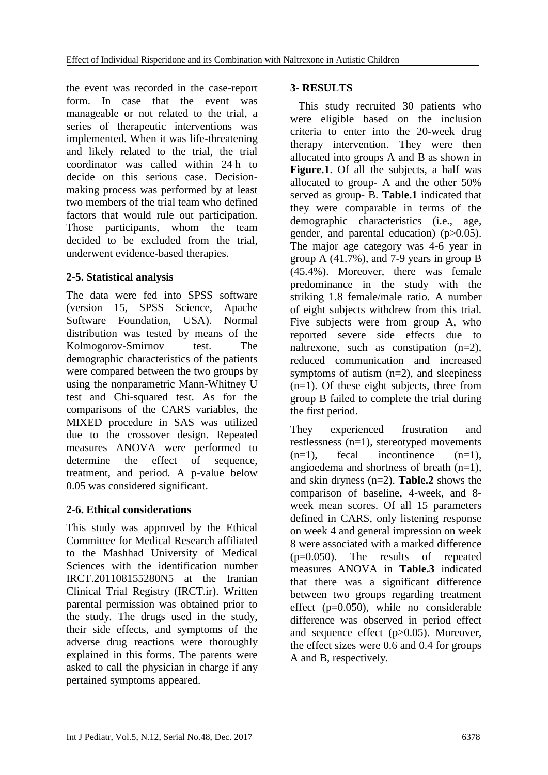the event was recorded in the case-report form. In case that the event was manageable or not related to the trial, a series of therapeutic interventions was implemented. When it was life-threatening and likely related to the trial, the trial coordinator was called within 24 h to decide on this serious case. Decisionmaking process was performed by at least two members of the trial team who defined factors that would rule out participation. Those participants, whom the team decided to be excluded from the trial, underwent evidence-based therapies.

# **2-5. Statistical analysis**

The data were fed into SPSS software (version 15, SPSS Science, Apache Software Foundation, USA). Normal distribution was tested by means of the Kolmogorov-Smirnov test. The demographic characteristics of the patients were compared between the two groups by using the nonparametric Mann-Whitney U test and Chi-squared test. As for the comparisons of the CARS variables, the MIXED procedure in SAS was utilized due to the crossover design. Repeated measures ANOVA were performed to determine the effect of sequence, treatment, and period. A p-value below 0.05 was considered significant.

# **2-6. Ethical considerations**

This study was approved by the Ethical Committee for Medical Research affiliated to the Mashhad University of Medical Sciences with the identification number IRCT.201108155280N5 at the Iranian Clinical Trial Registry (IRCT.ir). Written parental permission was obtained prior to the study. The drugs used in the study, their side effects, and symptoms of the adverse drug reactions were thoroughly explained in this forms. The parents were asked to call the physician in charge if any pertained symptoms appeared.

## **3- RESULTS**

 This study recruited 30 patients who were eligible based on the inclusion criteria to enter into the 20-week drug therapy intervention. They were then allocated into groups A and B as shown in Figure.1. Of all the subjects, a half was allocated to group- A and the other 50% served as group- B. **Table.1** indicated that they were comparable in terms of the demographic characteristics (i.e., age, gender, and parental education) (p>0.05). The major age category was 4-6 year in group A (41.7%), and 7-9 years in group B (45.4%). Moreover, there was female predominance in the study with the striking 1.8 female/male ratio. A number of eight subjects withdrew from this trial. Five subjects were from group A, who reported severe side effects due to naltrexone, such as constipation  $(n=2)$ , reduced communication and increased symptoms of autism (n=2), and sleepiness  $(n=1)$ . Of these eight subjects, three from group B failed to complete the trial during the first period.

They experienced frustration and restlessness (n=1), stereotyped movements  $(n=1)$ , fecal incontinence  $(n=1)$ , angioedema and shortness of breath (n=1), and skin dryness (n=2). **Table.2** shows the comparison of baseline, 4-week, and 8 week mean scores. Of all 15 parameters defined in CARS, only listening response on week 4 and general impression on week 8 were associated with a marked difference (p=0.050). The results of repeated measures ANOVA in **Table.3** indicated that there was a significant difference between two groups regarding treatment effect  $(p=0.050)$ , while no considerable difference was observed in period effect and sequence effect (p>0.05). Moreover, the effect sizes were 0.6 and 0.4 for groups A and B, respectively.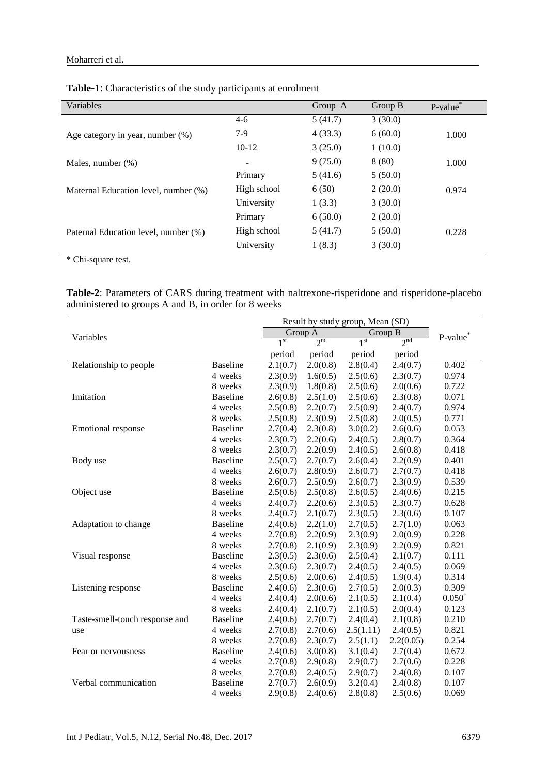#### Moharreri et al.

| Variables                            |                          | Group A | Group B | P-value* |
|--------------------------------------|--------------------------|---------|---------|----------|
|                                      | $4-6$                    | 5(41.7) | 3(30.0) |          |
| Age category in year, number $(\%)$  | $7-9$                    | 4(33.3) | 6(60.0) | 1.000    |
|                                      | $10-12$                  | 3(25.0) | 1(10.0) |          |
| Males, number (%)                    | $\overline{\phantom{a}}$ | 9(75.0) | 8(80)   | 1.000    |
|                                      | Primary                  | 5(41.6) | 5(50.0) |          |
| Maternal Education level, number (%) | High school              | 6(50)   | 2(20.0) | 0.974    |
|                                      | University               | 1(3.3)  | 3(30.0) |          |
|                                      | Primary                  | 6(50.0) | 2(20.0) |          |
| Paternal Education level, number (%) | High school              | 5(41.7) | 5(50.0) | 0.228    |
|                                      | University               | 1(8.3)  | 3(30.0) |          |

**Table-1**: Characteristics of the study participants at enrolment

\* Chi-square test.

**Table-2**: Parameters of CARS during treatment with naltrexone-risperidone and risperidone-placebo administered to groups A and B, in order for 8 weeks

|                                |                 |                 | Result by study group, Mean (SD) |                 |                 |                      |
|--------------------------------|-----------------|-----------------|----------------------------------|-----------------|-----------------|----------------------|
| Variables                      |                 | Group A         |                                  | Group B         |                 | P-value <sup>*</sup> |
|                                |                 | 1 <sup>st</sup> | 2 <sup>nd</sup>                  | 1 <sup>st</sup> | 2 <sup>nd</sup> |                      |
|                                |                 | period          | period                           | period          | period          |                      |
| Relationship to people         | <b>Baseline</b> | 2.1(0.7)        | 2.0(0.8)                         | 2.8(0.4)        | 2.4(0.7)        | 0.402                |
|                                | 4 weeks         | 2.3(0.9)        | 1.6(0.5)                         | 2.5(0.6)        | 2.3(0.7)        | 0.974                |
|                                | 8 weeks         | 2.3(0.9)        | 1.8(0.8)                         | 2.5(0.6)        | 2.0(0.6)        | 0.722                |
| Imitation                      | <b>Baseline</b> | 2.6(0.8)        | 2.5(1.0)                         | 2.5(0.6)        | 2.3(0.8)        | 0.071                |
|                                | 4 weeks         | 2.5(0.8)        | 2.2(0.7)                         | 2.5(0.9)        | 2.4(0.7)        | 0.974                |
|                                | 8 weeks         | 2.5(0.8)        | 2.3(0.9)                         | 2.5(0.8)        | 2.0(0.5)        | 0.771                |
| Emotional response             | <b>Baseline</b> | 2.7(0.4)        | 2.3(0.8)                         | 3.0(0.2)        | 2.6(0.6)        | 0.053                |
|                                | 4 weeks         | 2.3(0.7)        | 2.2(0.6)                         | 2.4(0.5)        | 2.8(0.7)        | 0.364                |
|                                | 8 weeks         | 2.3(0.7)        | 2.2(0.9)                         | 2.4(0.5)        | 2.6(0.8)        | 0.418                |
| Body use                       | <b>Baseline</b> | 2.5(0.7)        | 2.7(0.7)                         | 2.6(0.4)        | 2.2(0.9)        | 0.401                |
|                                | 4 weeks         | 2.6(0.7)        | 2.8(0.9)                         | 2.6(0.7)        | 2.7(0.7)        | 0.418                |
|                                | 8 weeks         | 2.6(0.7)        | 2.5(0.9)                         | 2.6(0.7)        | 2.3(0.9)        | 0.539                |
| Object use                     | <b>Baseline</b> | 2.5(0.6)        | 2.5(0.8)                         | 2.6(0.5)        | 2.4(0.6)        | 0.215                |
|                                | 4 weeks         | 2.4(0.7)        | 2.2(0.6)                         | 2.3(0.5)        | 2.3(0.7)        | 0.628                |
|                                | 8 weeks         | 2.4(0.7)        | 2.1(0.7)                         | 2.3(0.5)        | 2.3(0.6)        | 0.107                |
| Adaptation to change           | <b>Baseline</b> | 2.4(0.6)        | 2.2(1.0)                         | 2.7(0.5)        | 2.7(1.0)        | 0.063                |
|                                | 4 weeks         | 2.7(0.8)        | 2.2(0.9)                         | 2.3(0.9)        | 2.0(0.9)        | 0.228                |
|                                | 8 weeks         | 2.7(0.8)        | 2.1(0.9)                         | 2.3(0.9)        | 2.2(0.9)        | 0.821                |
| Visual response                | <b>Baseline</b> | 2.3(0.5)        | 2.3(0.6)                         | 2.5(0.4)        | 2.1(0.7)        | 0.111                |
|                                | 4 weeks         | 2.3(0.6)        | 2.3(0.7)                         | 2.4(0.5)        | 2.4(0.5)        | 0.069                |
|                                | 8 weeks         | 2.5(0.6)        | 2.0(0.6)                         | 2.4(0.5)        | 1.9(0.4)        | 0.314                |
| Listening response             | <b>Baseline</b> | 2.4(0.6)        | 2.3(0.6)                         | 2.7(0.5)        | 2.0(0.3)        | 0.309                |
|                                | 4 weeks         | 2.4(0.4)        | 2.0(0.6)                         | 2.1(0.5)        | 2.1(0.4)        | $0.050^{\dagger}$    |
|                                | 8 weeks         | 2.4(0.4)        | 2.1(0.7)                         | 2.1(0.5)        | 2.0(0.4)        | 0.123                |
| Taste-smell-touch response and | <b>Baseline</b> | 2.4(0.6)        | 2.7(0.7)                         | 2.4(0.4)        | 2.1(0.8)        | 0.210                |
| use                            | 4 weeks         | 2.7(0.8)        | 2.7(0.6)                         | 2.5(1.11)       | 2.4(0.5)        | 0.821                |
|                                | 8 weeks         | 2.7(0.8)        | 2.3(0.7)                         | 2.5(1.1)        | 2.2(0.05)       | 0.254                |
| Fear or nervousness            | <b>Baseline</b> | 2.4(0.6)        | 3.0(0.8)                         | 3.1(0.4)        | 2.7(0.4)        | 0.672                |
|                                | 4 weeks         | 2.7(0.8)        | 2.9(0.8)                         | 2.9(0.7)        | 2.7(0.6)        | 0.228                |
|                                | 8 weeks         | 2.7(0.8)        | 2.4(0.5)                         | 2.9(0.7)        | 2.4(0.8)        | 0.107                |
| Verbal communication           | <b>Baseline</b> | 2.7(0.7)        | 2.6(0.9)                         | 3.2(0.4)        | 2.4(0.8)        | 0.107                |
|                                | 4 weeks         | 2.9(0.8)        | 2.4(0.6)                         | 2.8(0.8)        | 2.5(0.6)        | 0.069                |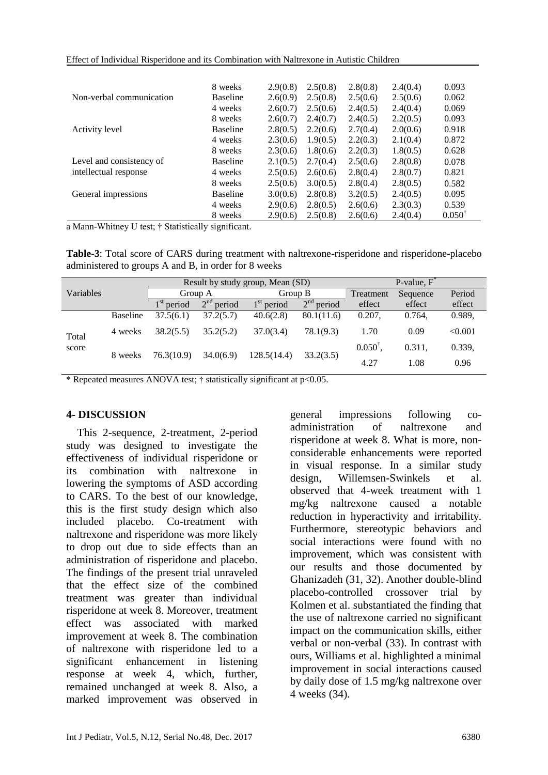| Effect of Individual Risperidone and its Combination with Naltrexone in Autistic Children |  |  |  |  |  |
|-------------------------------------------------------------------------------------------|--|--|--|--|--|
|-------------------------------------------------------------------------------------------|--|--|--|--|--|

|                          | 8 weeks         | 2.9(0.8) | 2.5(0.8) | 2.8(0.8) | 2.4(0.4) | 0.093             |
|--------------------------|-----------------|----------|----------|----------|----------|-------------------|
| Non-verbal communication | <b>Baseline</b> | 2.6(0.9) | 2.5(0.8) | 2.5(0.6) | 2.5(0.6) | 0.062             |
|                          | 4 weeks         | 2.6(0.7) | 2.5(0.6) | 2.4(0.5) | 2.4(0.4) | 0.069             |
|                          | 8 weeks         | 2.6(0.7) | 2.4(0.7) | 2.4(0.5) | 2.2(0.5) | 0.093             |
| Activity level           | <b>Baseline</b> | 2.8(0.5) | 2.2(0.6) | 2.7(0.4) | 2.0(0.6) | 0.918             |
|                          | 4 weeks         | 2.3(0.6) | 1.9(0.5) | 2.2(0.3) | 2.1(0.4) | 0.872             |
|                          | 8 weeks         | 2.3(0.6) | 1.8(0.6) | 2.2(0.3) | 1.8(0.5) | 0.628             |
| Level and consistency of | <b>Baseline</b> | 2.1(0.5) | 2.7(0.4) | 2.5(0.6) | 2.8(0.8) | 0.078             |
| intellectual response    | 4 weeks         | 2.5(0.6) | 2.6(0.6) | 2.8(0.4) | 2.8(0.7) | 0.821             |
|                          | 8 weeks         | 2.5(0.6) | 3.0(0.5) | 2.8(0.4) | 2.8(0.5) | 0.582             |
| General impressions      | <b>Baseline</b> | 3.0(0.6) | 2.8(0.8) | 3.2(0.5) | 2.4(0.5) | 0.095             |
|                          | 4 weeks         | 2.9(0.6) | 2.8(0.5) | 2.6(0.6) | 2.3(0.3) | 0.539             |
|                          | 8 weeks         | 2.9(0.6) | 2.5(0.8) | 2.6(0.6) | 2.4(0.4) | $0.050^{\dagger}$ |

a Mann-Whitney U test; † Statistically significant.

**Table-3**: Total score of CARS during treatment with naltrexone-risperidone and risperidone-placebo administered to groups A and B, in order for 8 weeks

|                |                 | Result by study group, Mean (SD) |              |              |              | P-value, $F^{\dagger}$ |          |         |
|----------------|-----------------|----------------------------------|--------------|--------------|--------------|------------------------|----------|---------|
| Variables      |                 | Group A                          |              | Group B      |              | Treatment              | Sequence | Period  |
|                |                 | $1st$ period                     | $2nd$ period | $1st$ period | $2nd$ period | effect                 | effect   | effect  |
| Total<br>score | <b>Baseline</b> | 37.5(6.1)                        | 37.2(5.7)    | 40.6(2.8)    | 80.1(11.6)   | 0.207,                 | 0.764,   | 0.989,  |
|                | 4 weeks         | 38.2(5.5)                        | 35.2(5.2)    | 37.0(3.4)    | 78.1(9.3)    | 1.70                   | 0.09     | < 0.001 |
|                | 8 weeks         | 34.0(6.9)<br>76.3(10.9)          |              | 128.5(14.4)  | 33.2(3.5)    | $0.050^{\dagger}$      | 0.311,   | 0.339,  |
|                |                 |                                  |              |              |              | 4.27                   | 1.08     | 0.96    |

\* Repeated measures ANOVA test; † statistically significant at p<0.05.

### **4- DISCUSSION**

 This 2-sequence, 2-treatment, 2-period study was designed to investigate the effectiveness of individual risperidone or its combination with naltrexone in lowering the symptoms of ASD according to CARS. To the best of our knowledge, this is the first study design which also included placebo. Co-treatment with naltrexone and risperidone was more likely to drop out due to side effects than an administration of risperidone and placebo. The findings of the present trial unraveled that the effect size of the combined treatment was greater than individual risperidone at week 8. Moreover, treatment effect was associated with marked improvement at week 8. The combination of naltrexone with risperidone led to a significant enhancement in listening response at week 4, which, further, remained unchanged at week 8. Also, a marked improvement was observed in general impressions following coadministration of naltrexone and risperidone at week 8. What is more, nonconsiderable enhancements were reported in visual response. In a similar study design, Willemsen-Swinkels et al. observed that 4-week treatment with 1 mg/kg naltrexone caused a notable reduction in hyperactivity and irritability. Furthermore, stereotypic behaviors and social interactions were found with no improvement, which was consistent with our results and those documented by Ghanizadeh (31, 32). Another double-blind placebo-controlled crossover trial by Kolmen et al. substantiated the finding that the use of naltrexone carried no significant impact on the communication skills, either verbal or non-verbal (33). In contrast with ours, Williams et al. highlighted a minimal improvement in social interactions caused by daily dose of 1.5 mg/kg naltrexone over 4 weeks (34).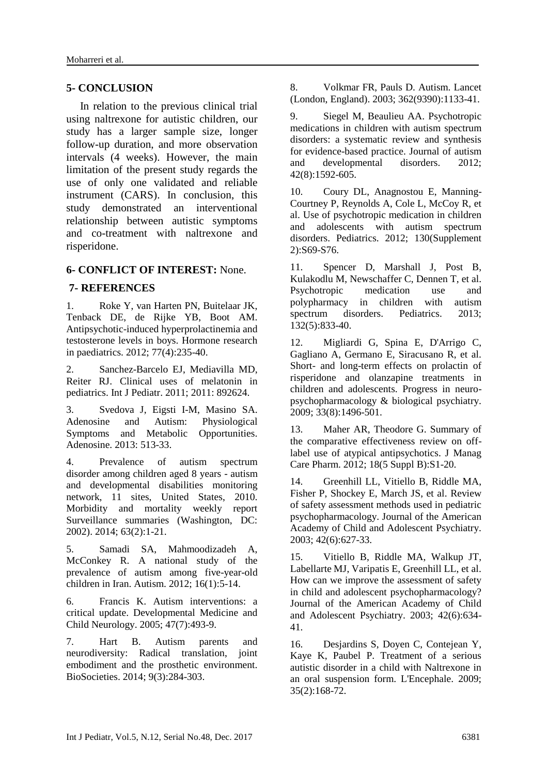#### **5- CONCLUSION**

 In relation to the previous clinical trial using naltrexone for autistic children, our study has a larger sample size, longer follow-up duration, and more observation intervals (4 weeks). However, the main limitation of the present study regards the use of only one validated and reliable instrument (CARS). In conclusion, this study demonstrated an interventional relationship between autistic symptoms and co-treatment with naltrexone and risperidone.

#### **6- CONFLICT OF INTEREST:** None.

#### **7- REFERENCES**

1. Roke Y, van Harten PN, Buitelaar JK, Tenback DE, de Rijke YB, Boot AM. Antipsychotic-induced hyperprolactinemia and testosterone levels in boys. Hormone research in paediatrics. 2012; 77(4):235-40.

2. Sanchez-Barcelo EJ, Mediavilla MD, Reiter RJ. Clinical uses of melatonin in pediatrics. Int J Pediatr. 2011; 2011: 892624.

3. Svedova J, Eigsti I-M, Masino SA. Adenosine and Autism: Physiological Symptoms and Metabolic Opportunities. Adenosine. 2013: 513-33.

4. Prevalence of autism spectrum disorder among children aged 8 years - autism and developmental disabilities monitoring network, 11 sites, United States, 2010. Morbidity and mortality weekly report Surveillance summaries (Washington, DC: 2002). 2014; 63(2):1-21.

5. Samadi SA, Mahmoodizadeh A, McConkey R. A national study of the prevalence of autism among five-year-old children in Iran. Autism. 2012; 16(1):5-14.

6. Francis K. Autism interventions: a critical update. Developmental Medicine and Child Neurology. 2005; 47(7):493-9.

7. Hart B. Autism parents and neurodiversity: Radical translation, joint embodiment and the prosthetic environment. BioSocieties. 2014; 9(3):284-303.

8. Volkmar FR, Pauls D. Autism. Lancet (London, England). 2003; 362(9390):1133-41.

9. Siegel M, Beaulieu AA. Psychotropic medications in children with autism spectrum disorders: a systematic review and synthesis for evidence-based practice. Journal of autism and developmental disorders. 2012; 42(8):1592-605.

10. Coury DL, Anagnostou E, Manning-Courtney P, Reynolds A, Cole L, McCoy R, et al. Use of psychotropic medication in children and adolescents with autism spectrum disorders. Pediatrics. 2012; 130(Supplement 2):S69-S76.

11. Spencer D, Marshall J, Post B, Kulakodlu M, Newschaffer C, Dennen T, et al. Psychotropic medication use and polypharmacy in children with autism spectrum disorders. Pediatrics. 2013; 132(5):833-40.

12. Migliardi G, Spina E, D'Arrigo C, Gagliano A, Germano E, Siracusano R, et al. Short- and long-term effects on prolactin of risperidone and olanzapine treatments in children and adolescents. Progress in neuropsychopharmacology & biological psychiatry. 2009; 33(8):1496-501.

13. Maher AR, Theodore G. Summary of the comparative effectiveness review on offlabel use of atypical antipsychotics. J Manag Care Pharm. 2012; 18(5 Suppl B):S1-20.

14. Greenhill LL, Vitiello B, Riddle MA, Fisher P, Shockey E, March JS, et al. Review of safety assessment methods used in pediatric psychopharmacology. Journal of the American Academy of Child and Adolescent Psychiatry. 2003; 42(6):627-33.

15. Vitiello B, Riddle MA, Walkup JT, Labellarte MJ, Varipatis E, Greenhill LL, et al. How can we improve the assessment of safety in child and adolescent psychopharmacology? Journal of the American Academy of Child and Adolescent Psychiatry. 2003; 42(6):634- 41.

16. Desjardins S, Doyen C, Contejean Y, Kaye K, Paubel P. Treatment of a serious autistic disorder in a child with Naltrexone in an oral suspension form. L'Encephale. 2009; 35(2):168-72.